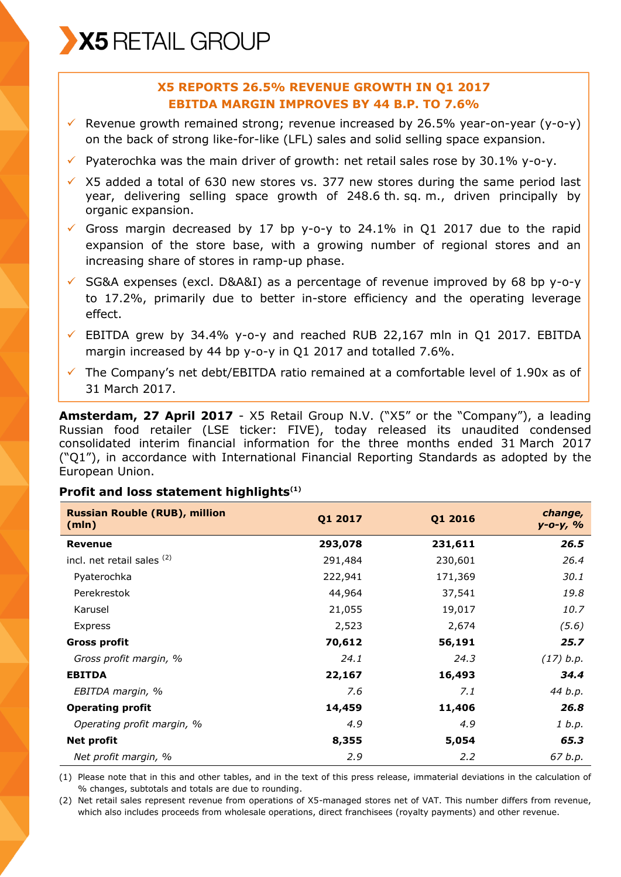X5 RETAIL GROUP

# **X5 REPORTS 26.5% REVENUE GROWTH IN Q1 2017 EBITDA MARGIN IMPROVES BY 44 B.P. TO 7.6%**

- Revenue growth remained strong; revenue increased by 26.5% year-on-year (y-o-y) on the back of strong like-for-like (LFL) sales and solid selling space expansion.
- $\checkmark$  Pyaterochka was the main driver of growth: net retail sales rose by 30.1% y-o-y.
- $\times$  X5 added a total of 630 new stores vs. 377 new stores during the same period last year, delivering selling space growth of 248.6 th. sq. m., driven principally by organic expansion.
- Gross margin decreased by 17 bp y-o-y to 24.1% in Q1 2017 due to the rapid expansion of the store base, with a growing number of regional stores and an increasing share of stores in ramp-up phase.
- $\checkmark$  SG&A expenses (excl. D&A&I) as a percentage of revenue improved by 68 bp y-o-y to 17.2%, primarily due to better in-store efficiency and the operating leverage effect.
- $\checkmark$  EBITDA grew by 34.4% y-o-y and reached RUB 22,167 mln in Q1 2017. EBITDA margin increased by 44 bp y-o-y in Q1 2017 and totalled 7.6%.
- $\checkmark$  The Company's net debt/EBITDA ratio remained at a comfortable level of 1.90x as of 31 March 2017.

**Amsterdam, 27 April 2017** - X5 Retail Group N.V. ("X5" or the "Company"), a leading Russian food retailer (LSE ticker: FIVE), today released its unaudited condensed consolidated interim financial information for the three months ended 31 March 2017 ("Q1"), in accordance with International Financial Reporting Standards as adopted by the European Union.

#### **Profit and loss statement highlights(1)**

| <b>Russian Rouble (RUB), million</b><br>(mln) | Q1 2017 | Q1 2016 | change,<br>$y - 0 - y, %$ |
|-----------------------------------------------|---------|---------|---------------------------|
| <b>Revenue</b>                                | 293,078 | 231,611 | 26.5                      |
| incl. net retail sales (2)                    | 291,484 | 230,601 | 26.4                      |
| Pyaterochka                                   | 222,941 | 171,369 | 30.1                      |
| Perekrestok                                   | 44,964  | 37,541  | 19.8                      |
| Karusel                                       | 21,055  | 19,017  | 10.7                      |
| Express                                       | 2,523   | 2,674   | (5.6)                     |
| <b>Gross profit</b>                           | 70,612  | 56,191  | 25.7                      |
| Gross profit margin, %                        | 24.1    | 24.3    | (17) b.p.                 |
| <b>EBITDA</b>                                 | 22,167  | 16,493  | 34.4                      |
| EBITDA margin, %                              | 7.6     | 7.1     | 44 b.p.                   |
| <b>Operating profit</b>                       | 14,459  | 11,406  | 26.8                      |
| Operating profit margin, %                    | 4.9     | 4.9     | 1 b.p.                    |
| Net profit                                    | 8,355   | 5,054   | 65.3                      |
| Net profit margin, %                          | 2.9     | 2.2     | 67 b.p.                   |

(1) Please note that in this and other tables, and in the text of this press release, immaterial deviations in the calculation of % changes, subtotals and totals are due to rounding.

(2) Net retail sales represent revenue from operations of X5-managed stores net of VAT. This number differs from revenue, which also includes proceeds from wholesale operations, direct franchisees (royalty payments) and other revenue.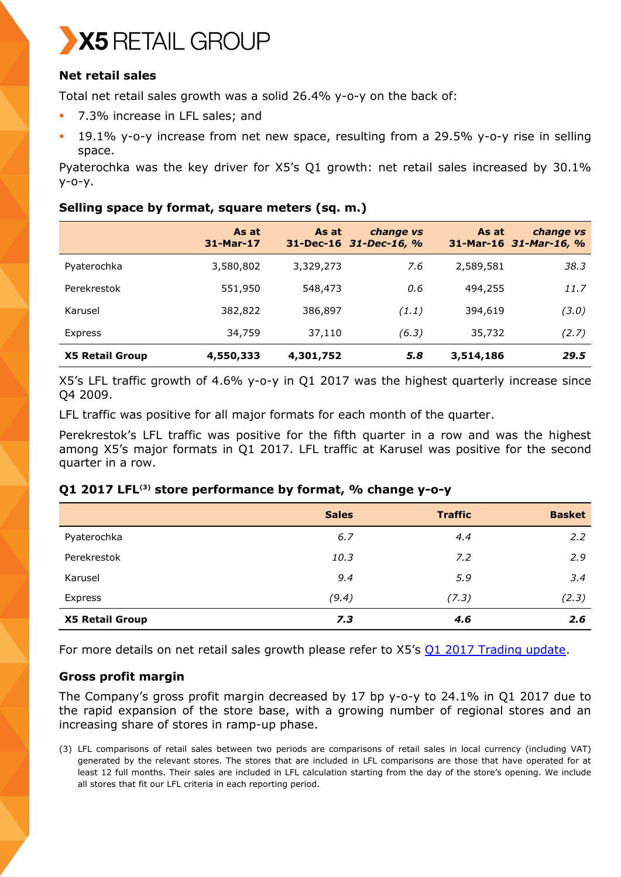

# **Net retail sales**

Total net retail sales growth was a solid 26.4% y-o-y on the back of:

- 7.3% increase in LFL sales; and
- 19.1% y-o-y increase from net new space, resulting from a 29.5% y-o-y rise in selling space.

Pyaterochka was the key driver for X5's Q1 growth: net retail sales increased by 30.1% y-o-y.

## **Selling space by format, square meters (sq. m.)**

|                        | As at<br>31-Mar-17 | As at     | change vs<br>31-Dec-16 31-Dec-16, % | As at     | change vs<br>31-Mar-16 31-Mar-16, % |
|------------------------|--------------------|-----------|-------------------------------------|-----------|-------------------------------------|
| Pyaterochka            | 3,580,802          | 3,329,273 | 7.6                                 | 2,589,581 | 38.3                                |
| Perekrestok            | 551,950            | 548,473   | 0.6                                 | 494,255   | 11.7                                |
| Karusel                | 382,822            | 386,897   | (1.1)                               | 394,619   | (3.0)                               |
| Express                | 34,759             | 37,110    | (6.3)                               | 35,732    | (2.7)                               |
| <b>X5 Retail Group</b> | 4,550,333          | 4,301,752 | 5.8                                 | 3,514,186 | 29.5                                |

X5's LFL traffic growth of 4.6% y-o-y in Q1 2017 was the highest quarterly increase since Q4 2009.

LFL traffic was positive for all major formats for each month of the quarter.

Perekrestok's LFL traffic was positive for the fifth quarter in a row and was the highest among X5's major formats in Q1 2017. LFL traffic at Karusel was positive for the second quarter in a row.

## **Q1 2017 LFL(3) store performance by format, % change y-o-y**

|                        | <b>Sales</b> | <b>Traffic</b> | <b>Basket</b> |
|------------------------|--------------|----------------|---------------|
| Pyaterochka            | 6.7          | 4.4            | 2.2           |
| Perekrestok            | 10.3         | 7.2            | 2.9           |
| Karusel                | 9.4          | 5.9            | 3.4           |
| Express                | (9.4)        | (7.3)          | (2.3)         |
| <b>X5 Retail Group</b> | 7.3          | 4.6            | 2.6           |

For more details on net retail sales growth please refer to X5's Q1 2017 [Trading update.](https://www.x5.ru/en/PublishingImages/Pages/Media/News/Q1-2017-trading-update-en.pdf)

## **Gross profit margin**

The Company's gross profit margin decreased by 17 bp y-o-y to 24.1% in Q1 2017 due to the rapid expansion of the store base, with a growing number of regional stores and an increasing share of stores in ramp-up phase.

(3) LFL comparisons of retail sales between two periods are comparisons of retail sales in local currency (including VAT) generated by the relevant stores. The stores that are included in LFL comparisons are those that have operated for at least 12 full months. Their sales are included in LFL calculation starting from the day of the store's opening. We include all stores that fit our LFL criteria in each reporting period.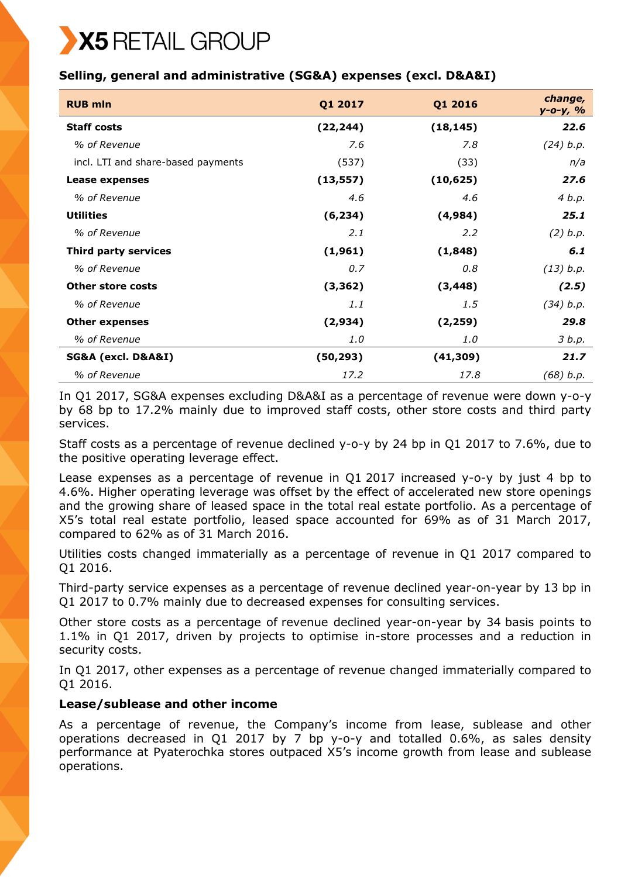# X5 RETAIL GROUP

# **Selling, general and administrative (SG&A) expenses (excl. D&A&I)**

| <b>RUB mln</b>                     | Q1 2017   | Q1 2016   | change,<br>у-о-у, % |
|------------------------------------|-----------|-----------|---------------------|
| <b>Staff costs</b>                 | (22, 244) | (18, 145) | 22.6                |
| % of Revenue                       | 7.6       | 7.8       | (24) b.p.           |
| incl. LTI and share-based payments | (537)     | (33)      | n/a                 |
| Lease expenses                     | (13, 557) | (10, 625) | 27.6                |
| % of Revenue                       | 4.6       | 4.6       | 4 b.p.              |
| <b>Utilities</b>                   | (6, 234)  | (4,984)   | 25.1                |
| % of Revenue                       | 2.1       | 2.2       | (2) b.p.            |
| Third party services               | (1,961)   | (1,848)   | 6.1                 |
| % of Revenue                       | 0.7       | 0.8       | (13) b.p.           |
| <b>Other store costs</b>           | (3, 362)  | (3, 448)  | (2.5)               |
| % of Revenue                       | 1.1       | 1.5       | (34) b.p.           |
| <b>Other expenses</b>              | (2,934)   | (2, 259)  | 29.8                |
| % of Revenue                       | 1.0       | 1.0       | 3 b.p.              |
| SG&A (excl. D&A&I)                 | (50, 293) | (41, 309) | 21.7                |
| % of Revenue                       | 17.2      | 17.8      | (68) b.p.           |

In Q1 2017, SG&A expenses excluding D&A&I as a percentage of revenue were down y-o-y by 68 bp to 17.2% mainly due to improved staff costs, other store costs and third party services.

Staff costs as a percentage of revenue declined y-o-y by 24 bp in Q1 2017 to 7.6%, due to the positive operating leverage effect.

Lease expenses as a percentage of revenue in Q1 2017 increased y-o-y by just 4 bp to 4.6%. Higher operating leverage was offset by the effect of accelerated new store openings and the growing share of leased space in the total real estate portfolio. As a percentage of X5's total real estate portfolio, leased space accounted for 69% as of 31 March 2017, compared to 62% as of 31 March 2016.

Utilities costs changed immaterially as a percentage of revenue in Q1 2017 compared to Q1 2016.

Third-party service expenses as a percentage of revenue declined year-on-year by 13 bp in Q1 2017 to 0.7% mainly due to decreased expenses for consulting services.

Other store costs as a percentage of revenue declined year-on-year by 34 basis points to 1.1% in Q1 2017, driven by projects to optimise in-store processes and a reduction in security costs.

In Q1 2017, other expenses as a percentage of revenue changed immaterially compared to Q1 2016.

## **Lease/sublease and other income**

As a percentage of revenue, the Company's income from lease, sublease and other operations decreased in Q1 2017 by 7 bp y-o-y and totalled 0.6%, as sales density performance at Pyaterochka stores outpaced X5's income growth from lease and sublease operations.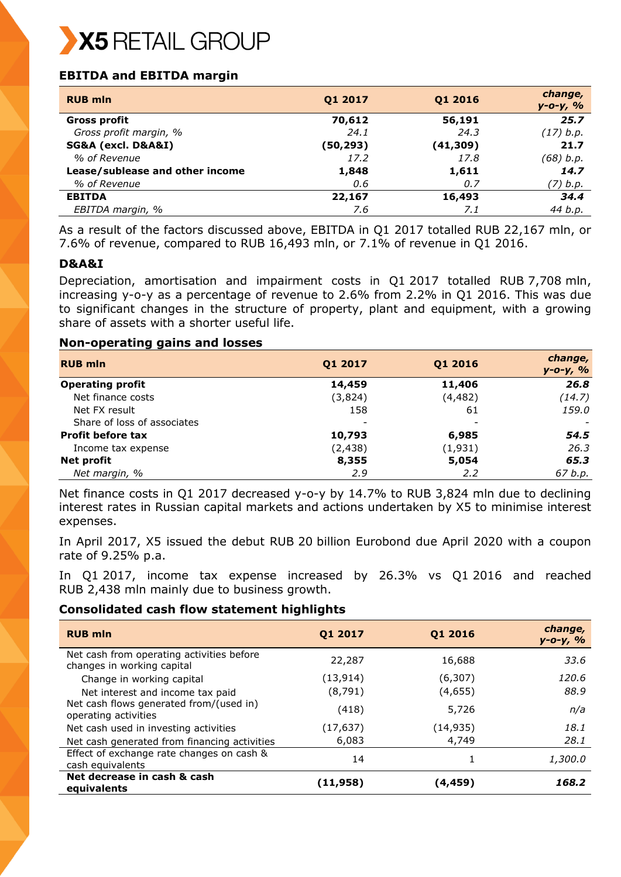

# **EBITDA and EBITDA margin**

| <b>RUB mln</b>                  | Q1 2017   | Q1 2016   | change,<br>$y - 0 - y, %$ |
|---------------------------------|-----------|-----------|---------------------------|
| Gross profit                    | 70,612    | 56,191    | 25.7                      |
| Gross profit margin, %          | 24.1      | 24.3      | (17) b.p.                 |
| SG&A (excl. D&A&I)              | (50, 293) | (41, 309) | 21.7                      |
| % of Revenue                    | 17.2      | 17.8      | (68) b.p.                 |
| Lease/sublease and other income | 1,848     | 1,611     | 14.7                      |
| % of Revenue                    | 0.6       | 0.7       | (7) b.p.                  |
| <b>EBITDA</b>                   | 22,167    | 16,493    | 34.4                      |
| EBITDA margin, %                | 7.6       | 7.1       | 44 b.p.                   |

As a result of the factors discussed above, EBITDA in Q1 2017 totalled RUB 22,167 mln, or 7.6% of revenue, compared to RUB 16,493 mln, or 7.1% of revenue in Q1 2016.

## **D&A&I**

Depreciation, amortisation and impairment costs in Q1 2017 totalled RUB 7,708 mln, increasing y-o-y as a percentage of revenue to 2.6% from 2.2% in Q1 2016. This was due to significant changes in the structure of property, plant and equipment, with a growing share of assets with a shorter useful life.

#### **Non-operating gains and losses**

| <b>RUB mln</b>              | Q1 2017  | Q1 2016  | change,<br>$y - 0 - y, %$ |
|-----------------------------|----------|----------|---------------------------|
| <b>Operating profit</b>     | 14,459   | 11,406   | 26.8                      |
| Net finance costs           | (3,824)  | (4, 482) | (14.7)                    |
| Net FX result               | 158      | 61       | 159.0                     |
| Share of loss of associates |          | -        |                           |
| <b>Profit before tax</b>    | 10,793   | 6,985    | 54.5                      |
| Income tax expense          | (2, 438) | (1,931)  | 26.3                      |
| <b>Net profit</b>           | 8,355    | 5,054    | 65.3                      |
| Net margin, %               | 2.9      | 2.2      | 67 b.p.                   |

Net finance costs in Q1 2017 decreased y-o-y by 14.7% to RUB 3,824 mln due to declining interest rates in Russian capital markets and actions undertaken by X5 to minimise interest expenses.

In April 2017, X5 issued the debut RUB 20 billion Eurobond due April 2020 with a coupon rate of 9.25% p.a.

In Q1 2017, income tax expense increased by 26.3% vs Q1 2016 and reached RUB 2,438 mln mainly due to business growth.

#### **Consolidated cash flow statement highlights**

| <b>RUB mln</b>                                                          | Q1 2017   | Q1 2016   | change,<br>$y - 0 - y, %$ |
|-------------------------------------------------------------------------|-----------|-----------|---------------------------|
| Net cash from operating activities before<br>changes in working capital | 22,287    | 16,688    | 33.6                      |
| Change in working capital                                               | (13, 914) | (6, 307)  | 120.6                     |
| Net interest and income tax paid                                        | (8,791)   | (4,655)   | 88.9                      |
| Net cash flows generated from/(used in)<br>operating activities         | (418)     | 5,726     | n/a                       |
| Net cash used in investing activities                                   | (17, 637) | (14, 935) | 18.1                      |
| Net cash generated from financing activities                            | 6,083     | 4,749     | 28.1                      |
| Effect of exchange rate changes on cash &<br>cash equivalents           | 14        |           | 1,300.0                   |
| Net decrease in cash & cash<br>equivalents                              | (11,958)  | (4,459)   | 168.2                     |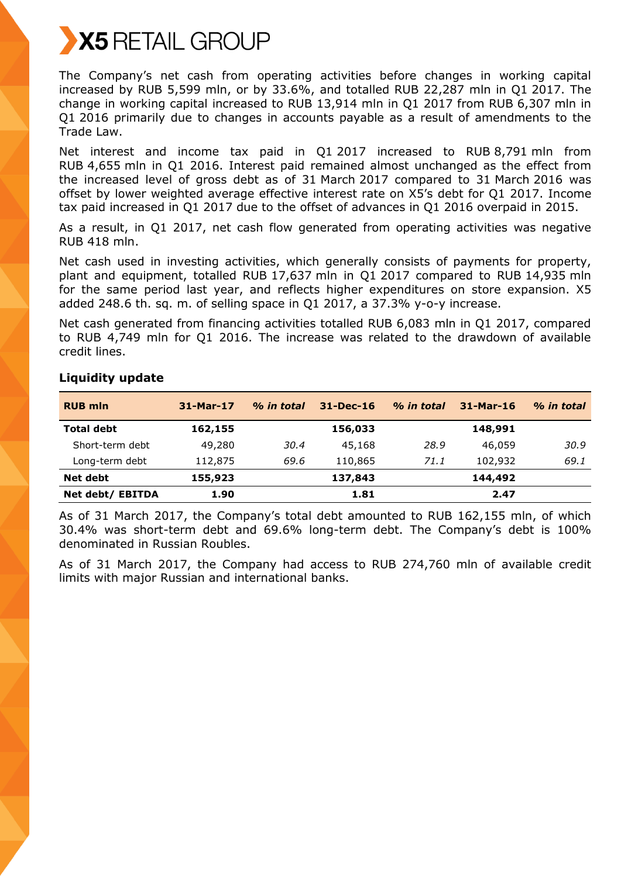

The Company's net cash from operating activities before changes in working capital increased by RUB 5,599 mln, or by 33.6%, and totalled RUB 22,287 mln in Q1 2017. The change in working capital increased to RUB 13,914 mln in Q1 2017 from RUB 6,307 mln in Q1 2016 primarily due to changes in accounts payable as a result of amendments to the Trade Law.

Net interest and income tax paid in Q1 2017 increased to RUB 8,791 mln from RUB 4,655 mln in Q1 2016. Interest paid remained almost unchanged as the effect from the increased level of gross debt as of 31 March 2017 compared to 31 March 2016 was offset by lower weighted average effective interest rate on X5's debt for Q1 2017. Income tax paid increased in Q1 2017 due to the offset of advances in Q1 2016 overpaid in 2015.

As a result, in Q1 2017, net cash flow generated from operating activities was negative RUB 418 mln.

Net cash used in investing activities, which generally consists of payments for property, plant and equipment, totalled RUB 17,637 mln in Q1 2017 compared to RUB 14,935 mln for the same period last year, and reflects higher expenditures on store expansion. Х5 added 248.6 th. sq. m. of selling space in Q1 2017, a 37.3% y-o-y increase.

Net cash generated from financing activities totalled RUB 6,083 mln in Q1 2017, compared to RUB 4,749 mln for Q1 2016. The increase was related to the drawdown of available credit lines.

| <b>RUB mln</b>    | 31-Mar-17 | % in total | $31 - Dec-16$ | % in total | $31-Mar-16$ | % in total |
|-------------------|-----------|------------|---------------|------------|-------------|------------|
| <b>Total debt</b> | 162,155   |            | 156,033       |            | 148,991     |            |
| Short-term debt   | 49,280    | 30.4       | 45,168        | 28.9       | 46,059      | 30.9       |
| Long-term debt    | 112,875   | 69.6       | 110,865       | 71.1       | 102,932     | 69.1       |
| Net debt          | 155,923   |            | 137,843       |            | 144,492     |            |
| Net debt/ EBITDA  | 1.90      |            | 1.81          |            | 2.47        |            |

## **Liquidity update**

As of 31 March 2017, the Company's total debt amounted to RUB 162,155 mln, of which 30.4% was short-term debt and 69.6% long-term debt. The Company's debt is 100% denominated in Russian Roubles.

As of 31 March 2017, the Company had access to RUB 274,760 mln of available credit limits with major Russian and international banks.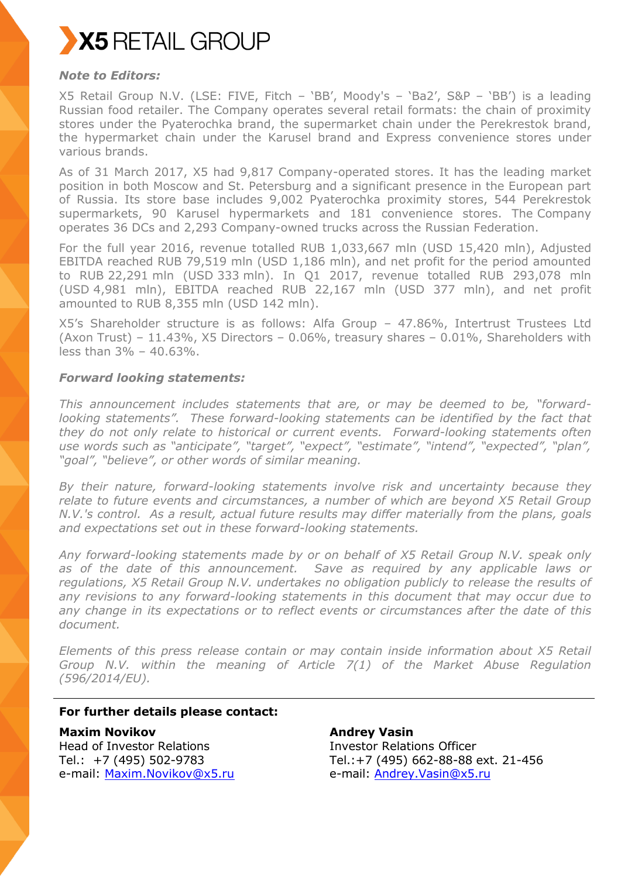

## *Note to Editors:*

X5 Retail Group N.V. (LSE: FIVE, Fitch – 'BB', Moody's – 'Ba2', S&P – 'BB') is a leading Russian food retailer. The Company operates several retail formats: the chain of proximity stores under the Pyaterochka brand, the supermarket chain under the Perekrestok brand, the hypermarket chain under the Karusel brand and Express convenience stores under various brands.

As of 31 March 2017, X5 had 9,817 Company-operated stores. It has the leading market position in both Moscow and St. Petersburg and a significant presence in the European part of Russia. Its store base includes 9,002 Pyaterochka proximity stores, 544 Perekrestok supermarkets, 90 Karusel hypermarkets and 181 convenience stores. The Company operates 36 DCs and 2,293 Company-owned trucks across the Russian Federation.

For the full year 2016, revenue totalled RUB 1,033,667 mln (USD 15,420 mln), Adjusted EBITDA reached RUB 79,519 mln (USD 1,186 mln), and net profit for the period amounted to RUB 22,291 mln (USD 333 mln). In Q1 2017, revenue totalled RUB 293,078 mln (USD 4,981 mln), EBITDA reached RUB 22,167 mln (USD 377 mln), and net profit amounted to RUB 8,355 mln (USD 142 mln).

X5's Shareholder structure is as follows: Alfa Group – 47.86%, Intertrust Trustees Ltd (Axon Trust) –  $11.43\%$ , X5 Directors – 0.06%, treasury shares – 0.01%, Shareholders with less than 3% – 40.63%.

#### *Forward looking statements:*

*This announcement includes statements that are, or may be deemed to be, "forwardlooking statements". These forward-looking statements can be identified by the fact that they do not only relate to historical or current events. Forward-looking statements often use words such as "anticipate", "target", "expect", "estimate", "intend", "expected", "plan", "goal", "believe", or other words of similar meaning.*

*By their nature, forward-looking statements involve risk and uncertainty because they relate to future events and circumstances, a number of which are beyond X5 Retail Group N.V.'s control. As a result, actual future results may differ materially from the plans, goals and expectations set out in these forward-looking statements.* 

*Any forward-looking statements made by or on behalf of X5 Retail Group N.V. speak only as of the date of this announcement. Save as required by any applicable laws or regulations, X5 Retail Group N.V. undertakes no obligation publicly to release the results of any revisions to any forward-looking statements in this document that may occur due to any change in its expectations or to reflect events or circumstances after the date of this document.*

*Elements of this press release contain or may contain inside information about X5 Retail Group N.V. within the meaning of Article 7(1) of the Market Abuse Regulation (596/2014/EU).*

## **For further details please contact:**

**Maxim Novikov** Head of Investor Relations Tel.: +7 (495) 502-9783 e-mail: [Maxim.Novikov@x5.ru](mailto:Maxim.Novikov@x5.ru)

**Andrey Vasin** Investor Relations Officer Tel.:+7 (495) 662-88-88 ext. 21-456 e-mail: [Andrey.Vasin@x5.ru](mailto:Andrey.Vasin@x5.ru)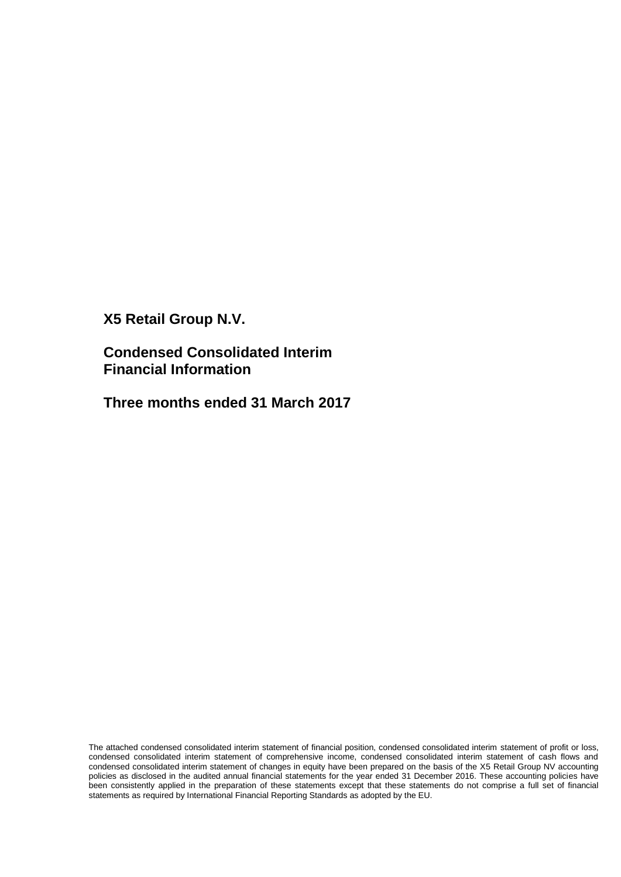**X5 Retail Group N.V.**

**Condensed Consolidated Interim Financial Information** 

**Three months ended 31 March 2017**

The attached condensed consolidated interim statement of financial position, condensed consolidated interim statement of profit or loss, condensed consolidated interim statement of comprehensive income, condensed consolidated interim statement of cash flows and condensed consolidated interim statement of changes in equity have been prepared on the basis of the X5 Retail Group NV accounting policies as disclosed in the audited annual financial statements for the year ended 31 December 2016. These accounting policies have been consistently applied in the preparation of these statements except that these statements do not comprise a full set of financial statements as required by International Financial Reporting Standards as adopted by the EU.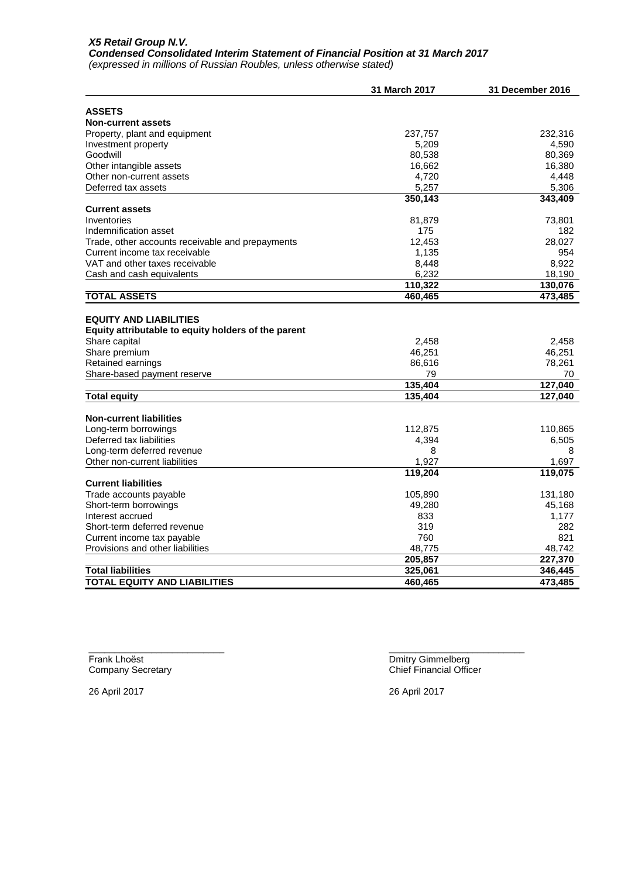#### *X5 Retail Group N.V. Condensed Consolidated Interim Statement of Financial Position at 31 March 2017*

*(expressed in millions of Russian Roubles, unless otherwise stated)*

|                                                     | 31 March 2017 | 31 December 2016 |
|-----------------------------------------------------|---------------|------------------|
|                                                     |               |                  |
| <b>ASSETS</b><br><b>Non-current assets</b>          |               |                  |
| Property, plant and equipment                       | 237,757       | 232,316          |
| Investment property                                 | 5,209         | 4,590            |
| Goodwill                                            | 80,538        | 80,369           |
| Other intangible assets                             | 16,662        | 16,380           |
| Other non-current assets                            | 4,720         | 4,448            |
| Deferred tax assets                                 | 5,257         | 5,306            |
|                                                     | 350,143       | 343,409          |
| <b>Current assets</b>                               |               |                  |
| Inventories                                         | 81,879        | 73,801           |
| Indemnification asset                               | 175           | 182              |
| Trade, other accounts receivable and prepayments    | 12,453        | 28,027           |
| Current income tax receivable                       | 1,135         | 954              |
| VAT and other taxes receivable                      | 8,448         | 8,922            |
| Cash and cash equivalents                           | 6,232         | 18,190           |
|                                                     | 110,322       | 130,076          |
| <b>TOTAL ASSETS</b>                                 | 460,465       | 473,485          |
|                                                     |               |                  |
| <b>EQUITY AND LIABILITIES</b>                       |               |                  |
| Equity attributable to equity holders of the parent |               |                  |
| Share capital                                       | 2,458         | 2,458            |
| Share premium                                       | 46,251        | 46,251           |
| Retained earnings                                   | 86,616        | 78,261           |
| Share-based payment reserve                         | 79            | 70               |
|                                                     | 135,404       | 127,040          |
| <b>Total equity</b>                                 | 135,404       | 127,040          |
| <b>Non-current liabilities</b>                      |               |                  |
| Long-term borrowings                                | 112,875       | 110,865          |
| Deferred tax liabilities                            | 4,394         | 6,505            |
| Long-term deferred revenue                          | 8             | 8                |
| Other non-current liabilities                       | 1,927         | 1.697            |
|                                                     | 119,204       | 119,075          |
| <b>Current liabilities</b>                          |               |                  |
| Trade accounts payable                              | 105,890       | 131,180          |
| Short-term borrowings                               | 49,280        | 45,168           |
| Interest accrued                                    | 833           | 1,177            |
| Short-term deferred revenue                         | 319           | 282              |
| Current income tax payable                          | 760           | 821              |
| Provisions and other liabilities                    | 48,775        | 48,742           |
|                                                     | 205,857       | 227,370          |
| <b>Total liabilities</b>                            | 325,061       | 346,445          |
| <b>TOTAL EQUITY AND LIABILITIES</b>                 | 460,465       | 473,485          |
|                                                     |               |                  |

 $\frac{1}{2}$  ,  $\frac{1}{2}$  ,  $\frac{1}{2}$  ,  $\frac{1}{2}$  ,  $\frac{1}{2}$  ,  $\frac{1}{2}$  ,  $\frac{1}{2}$  ,  $\frac{1}{2}$  ,  $\frac{1}{2}$  ,  $\frac{1}{2}$  ,  $\frac{1}{2}$  ,  $\frac{1}{2}$  ,  $\frac{1}{2}$  ,  $\frac{1}{2}$  ,  $\frac{1}{2}$  ,  $\frac{1}{2}$  ,  $\frac{1}{2}$  ,  $\frac{1}{2}$  ,  $\frac{1$ Frank Lhoёst Dmitry Gimmelberg

26 April 2017 26 April 2017

Company Secretary Chief Financial Officer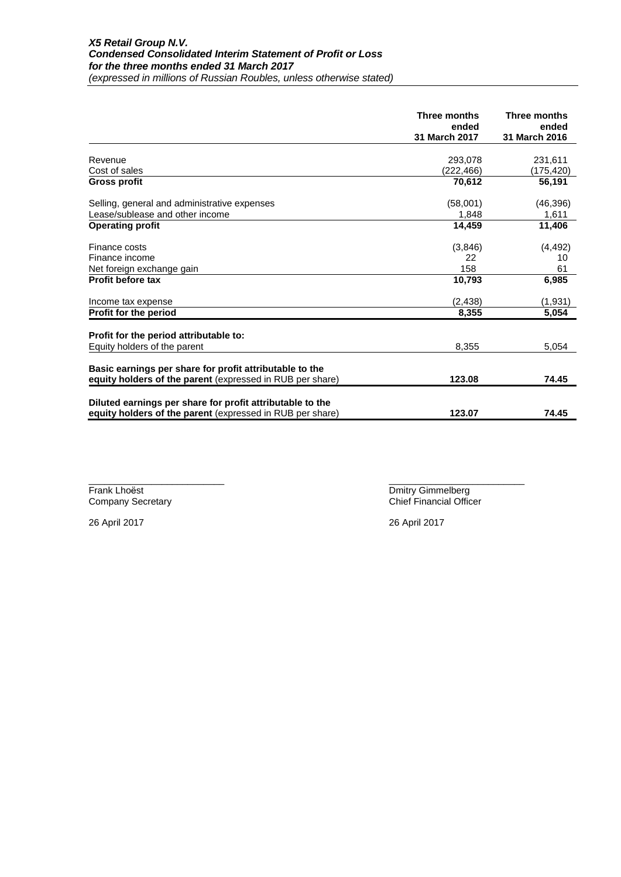|                                                           | Three months<br>ended<br>31 March 2017 | Three months<br>ended<br>31 March 2016 |
|-----------------------------------------------------------|----------------------------------------|----------------------------------------|
|                                                           |                                        |                                        |
| Revenue                                                   | 293.078                                | 231,611                                |
| Cost of sales                                             | (222,466)                              | (175,420)                              |
| <b>Gross profit</b>                                       | 70,612                                 | 56,191                                 |
| Selling, general and administrative expenses              | (58,001)                               | (46, 396)                              |
| Lease/sublease and other income                           | 1,848                                  | 1,611                                  |
| <b>Operating profit</b>                                   | 14,459                                 | 11,406                                 |
| Finance costs                                             | (3,846)                                | (4, 492)                               |
| Finance income                                            | 22                                     | 10                                     |
| Net foreign exchange gain                                 | 158                                    | 61                                     |
| <b>Profit before tax</b>                                  | 10,793                                 | 6,985                                  |
| Income tax expense                                        | (2, 438)                               | (1, 931)                               |
| Profit for the period                                     | 8,355                                  | 5,054                                  |
| Profit for the period attributable to:                    |                                        |                                        |
| Equity holders of the parent                              | 8,355                                  | 5,054                                  |
| Basic earnings per share for profit attributable to the   |                                        |                                        |
| equity holders of the parent (expressed in RUB per share) | 123.08                                 | 74.45                                  |
| Diluted earnings per share for profit attributable to the |                                        |                                        |
| equity holders of the parent (expressed in RUB per share) | 123.07                                 | 74.45                                  |

 $\frac{1}{2}$  ,  $\frac{1}{2}$  ,  $\frac{1}{2}$  ,  $\frac{1}{2}$  ,  $\frac{1}{2}$  ,  $\frac{1}{2}$  ,  $\frac{1}{2}$  ,  $\frac{1}{2}$  ,  $\frac{1}{2}$  ,  $\frac{1}{2}$  ,  $\frac{1}{2}$  ,  $\frac{1}{2}$  ,  $\frac{1}{2}$  ,  $\frac{1}{2}$  ,  $\frac{1}{2}$  ,  $\frac{1}{2}$  ,  $\frac{1}{2}$  ,  $\frac{1}{2}$  ,  $\frac{1$ Frank Lhoëst<br>
Company Secretary<br>
Company Secretary<br>
Chief Financial Office Chief Financial Officer

26 April 2017 26 April 2017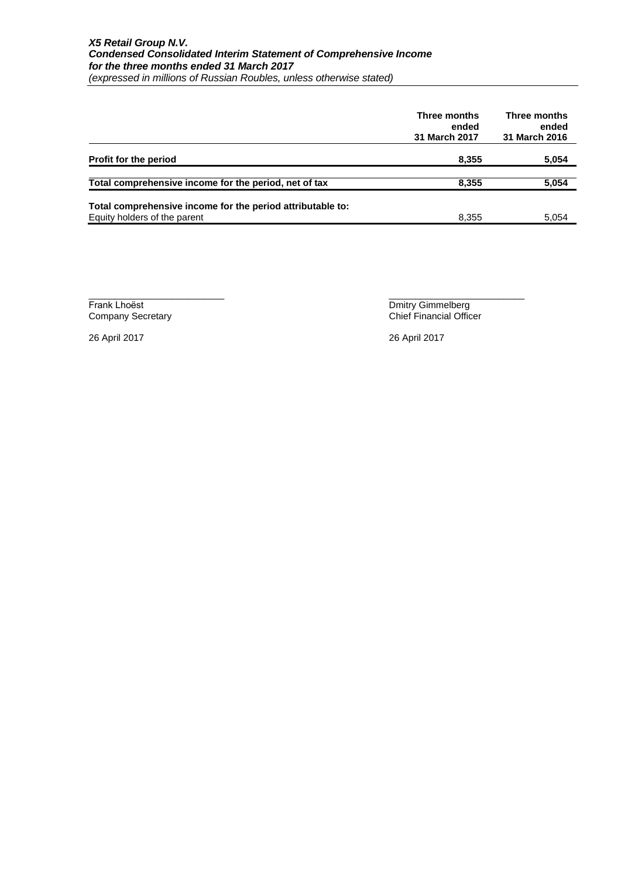#### *X5 Retail Group N.V. Condensed Consolidated Interim Statement of Comprehensive Income for the three months ended 31 March 2017 (expressed in millions of Russian Roubles, unless otherwise stated)*

|                                                                                            | Three months<br>ended<br><b>31 March 2017</b> | Three months<br>ended<br>31 March 2016 |
|--------------------------------------------------------------------------------------------|-----------------------------------------------|----------------------------------------|
| Profit for the period                                                                      | 8,355                                         | 5,054                                  |
| Total comprehensive income for the period, net of tax                                      | 8,355                                         | 5,054                                  |
| Total comprehensive income for the period attributable to:<br>Equity holders of the parent | 8,355                                         | 5.054                                  |

Frank Lhoёst Dmitry Gimmelberg

 $\frac{1}{2}$  ,  $\frac{1}{2}$  ,  $\frac{1}{2}$  ,  $\frac{1}{2}$  ,  $\frac{1}{2}$  ,  $\frac{1}{2}$  ,  $\frac{1}{2}$  ,  $\frac{1}{2}$  ,  $\frac{1}{2}$  ,  $\frac{1}{2}$  ,  $\frac{1}{2}$  ,  $\frac{1}{2}$  ,  $\frac{1}{2}$  ,  $\frac{1}{2}$  ,  $\frac{1}{2}$  ,  $\frac{1}{2}$  ,  $\frac{1}{2}$  ,  $\frac{1}{2}$  ,  $\frac{1$ Company Secretary Chief Financial Officer

26 April 2017 26 April 2017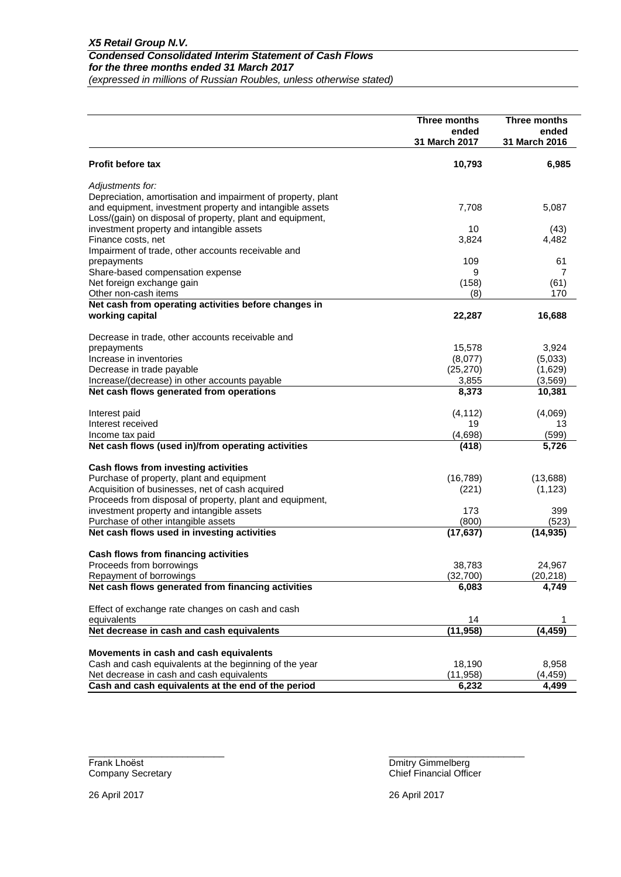|                                                                                    | Three months<br>ended | Three months<br>ended |
|------------------------------------------------------------------------------------|-----------------------|-----------------------|
|                                                                                    | 31 March 2017         | 31 March 2016         |
| <b>Profit before tax</b>                                                           | 10,793                | 6,985                 |
| Adjustments for:                                                                   |                       |                       |
| Depreciation, amortisation and impairment of property, plant                       |                       |                       |
| and equipment, investment property and intangible assets                           | 7,708                 | 5,087                 |
| Loss/(gain) on disposal of property, plant and equipment,                          |                       |                       |
| investment property and intangible assets                                          | 10                    | (43)                  |
| Finance costs, net                                                                 | 3,824                 | 4,482                 |
| Impairment of trade, other accounts receivable and                                 |                       |                       |
| prepayments                                                                        | 109                   | 61                    |
| Share-based compensation expense                                                   | 9                     | 7                     |
| Net foreign exchange gain                                                          | (158)                 | (61)                  |
| Other non-cash items                                                               | (8)                   | 170                   |
| Net cash from operating activities before changes in                               |                       | 16,688                |
| working capital                                                                    | 22,287                |                       |
| Decrease in trade, other accounts receivable and                                   |                       |                       |
| prepayments                                                                        | 15,578                | 3,924                 |
| Increase in inventories                                                            | (8,077)               | (5,033)               |
| Decrease in trade payable                                                          | (25, 270)             | (1,629)               |
| Increase/(decrease) in other accounts payable                                      | 3,855                 | (3, 569)              |
| Net cash flows generated from operations                                           | 8,373                 | 10,381                |
| Interest paid                                                                      | (4, 112)              | (4,069)               |
| Interest received                                                                  | 19                    | 13                    |
| Income tax paid                                                                    | (4,698)               | (599)                 |
| Net cash flows (used in)/from operating activities                                 | (418)                 | 5,726                 |
|                                                                                    |                       |                       |
| Cash flows from investing activities                                               |                       |                       |
| Purchase of property, plant and equipment                                          | (16, 789)             | (13,688)              |
| Acquisition of businesses, net of cash acquired                                    | (221)                 | (1, 123)              |
| Proceeds from disposal of property, plant and equipment,                           |                       |                       |
| investment property and intangible assets                                          | 173<br>(800)          | 399<br>(523)          |
| Purchase of other intangible assets<br>Net cash flows used in investing activities | (17, 637)             | (14, 935)             |
|                                                                                    |                       |                       |
| Cash flows from financing activities                                               |                       |                       |
| Proceeds from borrowings                                                           | 38,783                | 24,967                |
| Repayment of borrowings                                                            | (32,700)              | (20, 218)             |
| Net cash flows generated from financing activities                                 | 6,083                 | 4,749                 |
| Effect of exchange rate changes on cash and cash                                   |                       |                       |
| equivalents                                                                        | 14                    |                       |
| Net decrease in cash and cash equivalents                                          | (11, 958)             | (4, 459)              |
|                                                                                    |                       |                       |
| Movements in cash and cash equivalents                                             |                       |                       |
| Cash and cash equivalents at the beginning of the year                             | 18,190                | 8,958                 |
| Net decrease in cash and cash equivalents                                          | (11, 958)             | (4, 459)              |
| Cash and cash equivalents at the end of the period                                 | 6,232                 | 4,499                 |

 $\frac{1}{2}$  , the contribution of the contribution of the contribution of the contribution of the contribution of the contribution of the contribution of the contribution of the contribution of the contribution of the contr

Frank Lhoёst Dmitry Gimmelberg

Company Secretary Chief Financial Officer